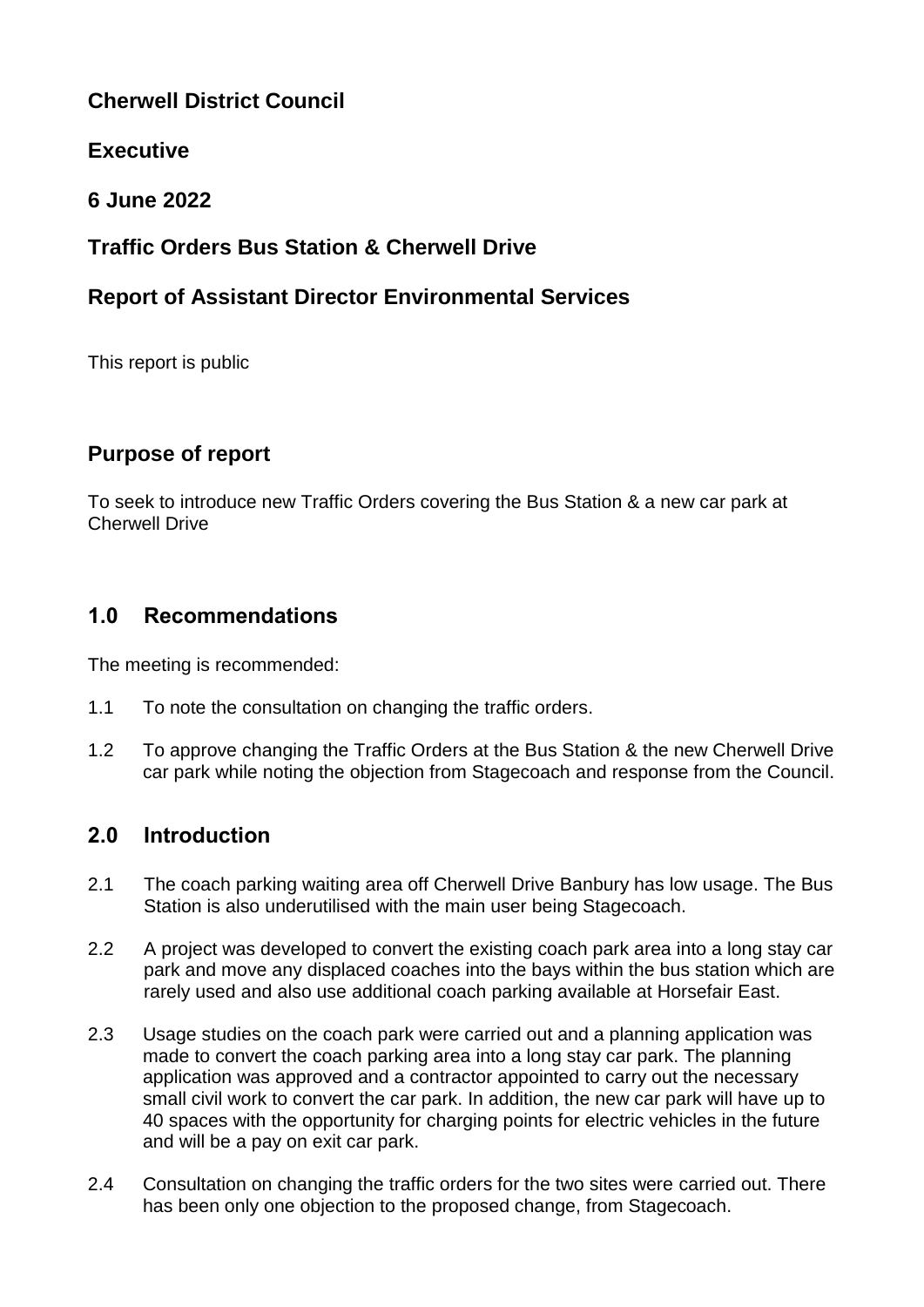## **Cherwell District Council**

## **Executive**

**6 June 2022**

# **Traffic Orders Bus Station & Cherwell Drive**

# **Report of Assistant Director Environmental Services**

This report is public

# **Purpose of report**

To seek to introduce new Traffic Orders covering the Bus Station & a new car park at Cherwell Drive

# **1.0 Recommendations**

The meeting is recommended:

- 1.1 To note the consultation on changing the traffic orders.
- 1.2 To approve changing the Traffic Orders at the Bus Station & the new Cherwell Drive car park while noting the objection from Stagecoach and response from the Council.

## **2.0 Introduction**

- 2.1 The coach parking waiting area off Cherwell Drive Banbury has low usage. The Bus Station is also underutilised with the main user being Stagecoach.
- 2.2 A project was developed to convert the existing coach park area into a long stay car park and move any displaced coaches into the bays within the bus station which are rarely used and also use additional coach parking available at Horsefair East.
- 2.3 Usage studies on the coach park were carried out and a planning application was made to convert the coach parking area into a long stay car park. The planning application was approved and a contractor appointed to carry out the necessary small civil work to convert the car park. In addition, the new car park will have up to 40 spaces with the opportunity for charging points for electric vehicles in the future and will be a pay on exit car park.
- 2.4 Consultation on changing the traffic orders for the two sites were carried out. There has been only one objection to the proposed change, from Stagecoach.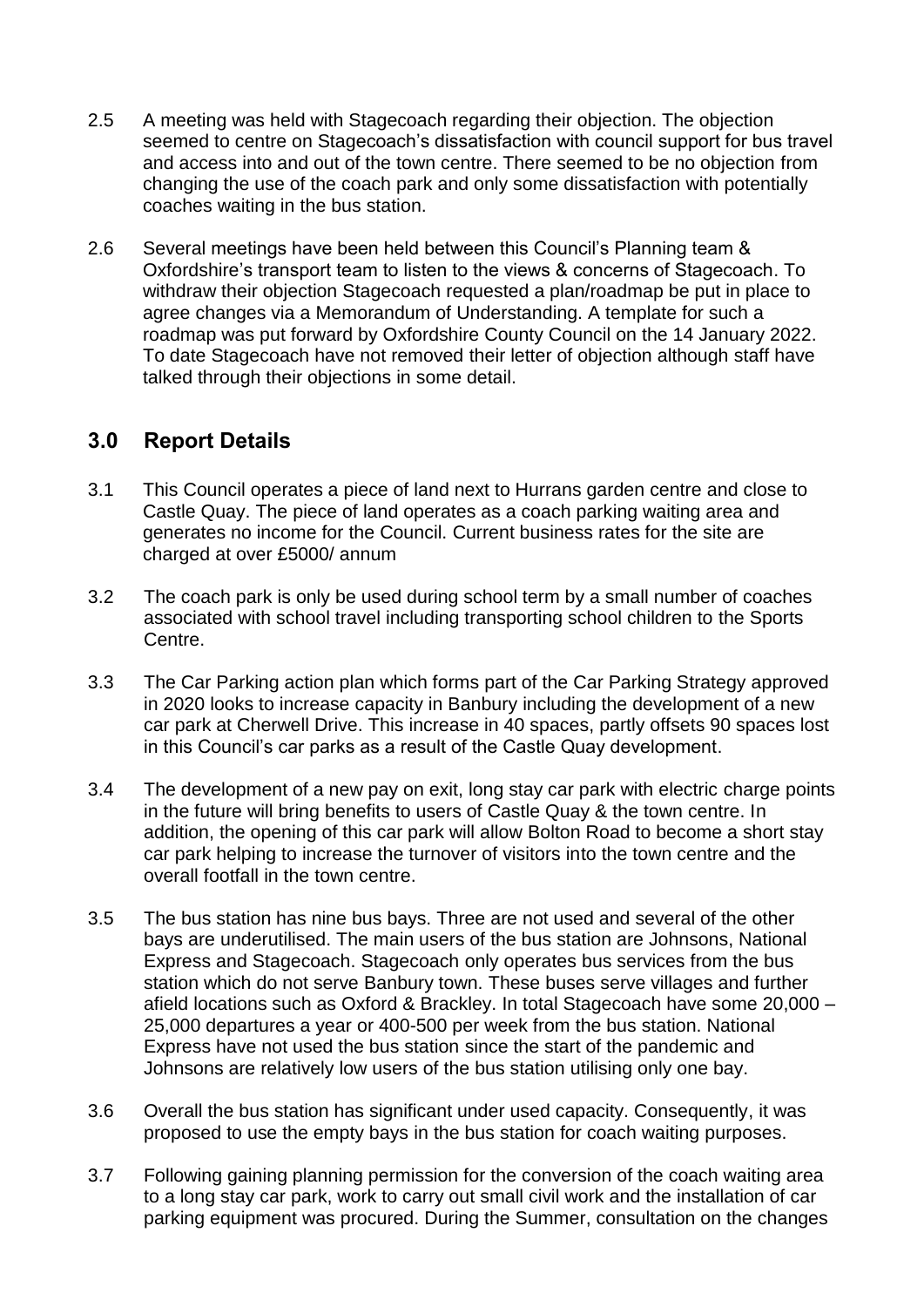- 2.5 A meeting was held with Stagecoach regarding their objection. The objection seemed to centre on Stagecoach's dissatisfaction with council support for bus travel and access into and out of the town centre. There seemed to be no objection from changing the use of the coach park and only some dissatisfaction with potentially coaches waiting in the bus station.
- 2.6 Several meetings have been held between this Council's Planning team & Oxfordshire's transport team to listen to the views & concerns of Stagecoach. To withdraw their objection Stagecoach requested a plan/roadmap be put in place to agree changes via a Memorandum of Understanding. A template for such a roadmap was put forward by Oxfordshire County Council on the 14 January 2022. To date Stagecoach have not removed their letter of objection although staff have talked through their objections in some detail.

### **3.0 Report Details**

- 3.1 This Council operates a piece of land next to Hurrans garden centre and close to Castle Quay. The piece of land operates as a coach parking waiting area and generates no income for the Council. Current business rates for the site are charged at over £5000/ annum
- 3.2 The coach park is only be used during school term by a small number of coaches associated with school travel including transporting school children to the Sports Centre.
- 3.3 The Car Parking action plan which forms part of the Car Parking Strategy approved in 2020 looks to increase capacity in Banbury including the development of a new car park at Cherwell Drive. This increase in 40 spaces, partly offsets 90 spaces lost in this Council's car parks as a result of the Castle Quay development.
- 3.4 The development of a new pay on exit, long stay car park with electric charge points in the future will bring benefits to users of Castle Quay & the town centre. In addition, the opening of this car park will allow Bolton Road to become a short stay car park helping to increase the turnover of visitors into the town centre and the overall footfall in the town centre.
- 3.5 The bus station has nine bus bays. Three are not used and several of the other bays are underutilised. The main users of the bus station are Johnsons, National Express and Stagecoach. Stagecoach only operates bus services from the bus station which do not serve Banbury town. These buses serve villages and further afield locations such as Oxford & Brackley. In total Stagecoach have some 20,000 – 25,000 departures a year or 400-500 per week from the bus station. National Express have not used the bus station since the start of the pandemic and Johnsons are relatively low users of the bus station utilising only one bay.
- 3.6 Overall the bus station has significant under used capacity. Consequently, it was proposed to use the empty bays in the bus station for coach waiting purposes.
- 3.7 Following gaining planning permission for the conversion of the coach waiting area to a long stay car park, work to carry out small civil work and the installation of car parking equipment was procured. During the Summer, consultation on the changes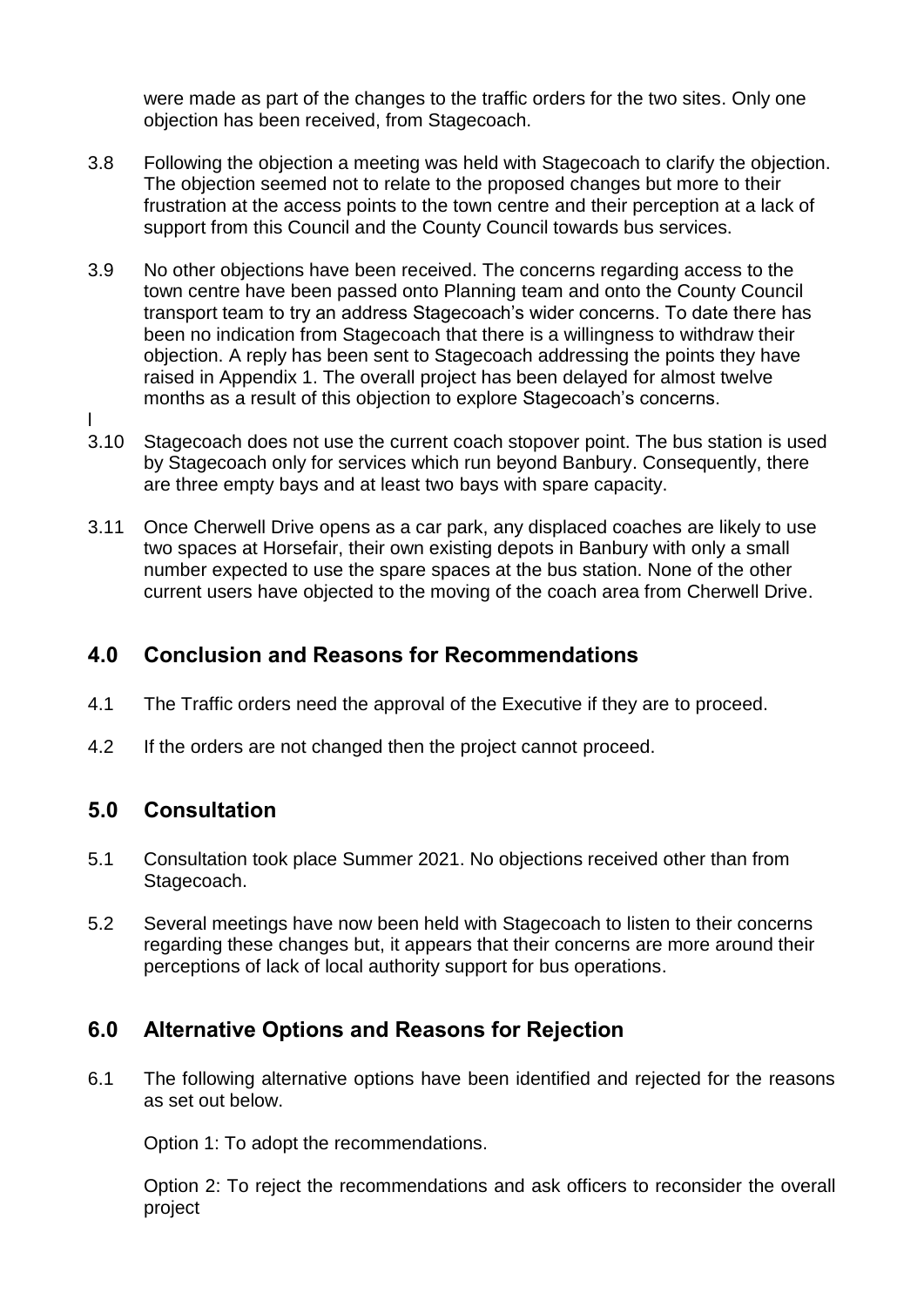were made as part of the changes to the traffic orders for the two sites. Only one objection has been received, from Stagecoach.

- 3.8 Following the objection a meeting was held with Stagecoach to clarify the objection. The objection seemed not to relate to the proposed changes but more to their frustration at the access points to the town centre and their perception at a lack of support from this Council and the County Council towards bus services.
- 3.9 No other objections have been received. The concerns regarding access to the town centre have been passed onto Planning team and onto the County Council transport team to try an address Stagecoach's wider concerns. To date there has been no indication from Stagecoach that there is a willingness to withdraw their objection. A reply has been sent to Stagecoach addressing the points they have raised in Appendix 1. The overall project has been delayed for almost twelve months as a result of this objection to explore Stagecoach's concerns.
- 3.10 Stagecoach does not use the current coach stopover point. The bus station is used by Stagecoach only for services which run beyond Banbury. Consequently, there are three empty bays and at least two bays with spare capacity.
- 3.11 Once Cherwell Drive opens as a car park, any displaced coaches are likely to use two spaces at Horsefair, their own existing depots in Banbury with only a small number expected to use the spare spaces at the bus station. None of the other current users have objected to the moving of the coach area from Cherwell Drive.

## **4.0 Conclusion and Reasons for Recommendations**

- 4.1 The Traffic orders need the approval of the Executive if they are to proceed.
- 4.2 If the orders are not changed then the project cannot proceed.

### **5.0 Consultation**

l

- 5.1 Consultation took place Summer 2021. No objections received other than from Stagecoach.
- 5.2 Several meetings have now been held with Stagecoach to listen to their concerns regarding these changes but, it appears that their concerns are more around their perceptions of lack of local authority support for bus operations.

### **6.0 Alternative Options and Reasons for Rejection**

6.1 The following alternative options have been identified and rejected for the reasons as set out below.

Option 1: To adopt the recommendations.

Option 2: To reject the recommendations and ask officers to reconsider the overall project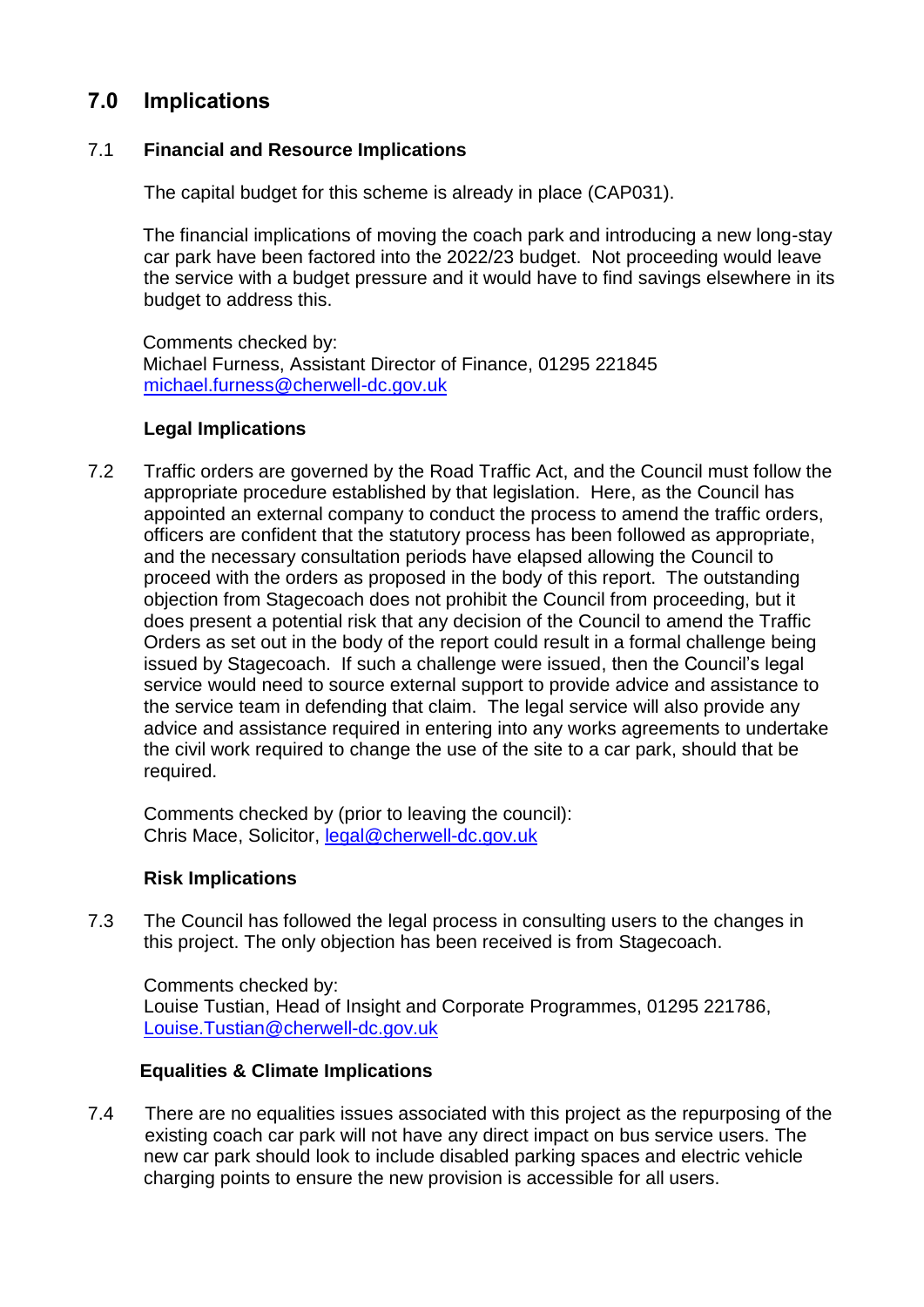## **7.0 Implications**

### 7.1 **Financial and Resource Implications**

The capital budget for this scheme is already in place (CAP031).

The financial implications of moving the coach park and introducing a new long-stay car park have been factored into the 2022/23 budget. Not proceeding would leave the service with a budget pressure and it would have to find savings elsewhere in its budget to address this.

Comments checked by: Michael Furness, Assistant Director of Finance, 01295 221845 [michael.furness@cherwell-dc.gov.uk](mailto:michael.furness@cherwell-dc.gov.uk)

### **Legal Implications**

7.2 Traffic orders are governed by the Road Traffic Act, and the Council must follow the appropriate procedure established by that legislation. Here, as the Council has appointed an external company to conduct the process to amend the traffic orders, officers are confident that the statutory process has been followed as appropriate, and the necessary consultation periods have elapsed allowing the Council to proceed with the orders as proposed in the body of this report. The outstanding objection from Stagecoach does not prohibit the Council from proceeding, but it does present a potential risk that any decision of the Council to amend the Traffic Orders as set out in the body of the report could result in a formal challenge being issued by Stagecoach. If such a challenge were issued, then the Council's legal service would need to source external support to provide advice and assistance to the service team in defending that claim. The legal service will also provide any advice and assistance required in entering into any works agreements to undertake the civil work required to change the use of the site to a car park, should that be required.

Comments checked by (prior to leaving the council): Chris Mace, Solicitor, [legal@cherwell-dc.gov.uk](mailto:legal@cherwell-dc.gov.uk)

### **Risk Implications**

7.3 The Council has followed the legal process in consulting users to the changes in this project. The only objection has been received is from Stagecoach.

Comments checked by: Louise Tustian, Head of Insight and Corporate Programmes, 01295 221786, [Louise.Tustian@cherwell-dc.gov.uk](mailto:Louise.Tustian@cherwell-dc.gov.uk)

### **Equalities & Climate Implications**

7.4 There are no equalities issues associated with this project as the repurposing of the existing coach car park will not have any direct impact on bus service users. The new car park should look to include disabled parking spaces and electric vehicle charging points to ensure the new provision is accessible for all users.